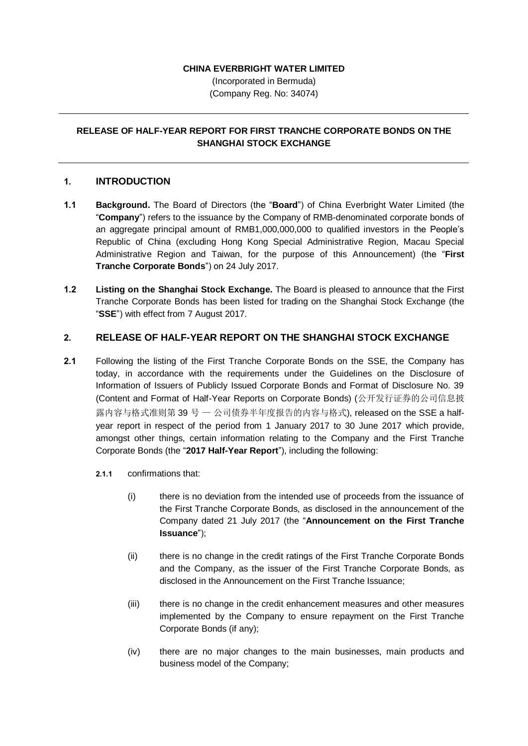## **CHINA EVERBRIGHT WATER LIMITED**

(Incorporated in Bermuda) (Company Reg. No: 34074)

## **RELEASE OF HALF-YEAR REPORT FOR FIRST TRANCHE CORPORATE BONDS ON THE SHANGHAI STOCK EXCHANGE**

## **1. INTRODUCTION**

- **1.1 Background.** The Board of Directors (the "**Board**") of China Everbright Water Limited (the "**Company**") refers to the issuance by the Company of RMB-denominated corporate bonds of an aggregate principal amount of RMB1,000,000,000 to qualified investors in the People's Republic of China (excluding Hong Kong Special Administrative Region, Macau Special Administrative Region and Taiwan, for the purpose of this Announcement) (the "**First Tranche Corporate Bonds**") on 24 July 2017.
- **1.2 Listing on the Shanghai Stock Exchange.** The Board is pleased to announce that the First Tranche Corporate Bonds has been listed for trading on the Shanghai Stock Exchange (the "**SSE**") with effect from 7 August 2017.

## **2. RELEASE OF HALF-YEAR REPORT ON THE SHANGHAI STOCK EXCHANGE**

- **2.1** Following the listing of the First Tranche Corporate Bonds on the SSE, the Company has today, in accordance with the requirements under the Guidelines on the Disclosure of Information of Issuers of Publicly Issued Corporate Bonds and Format of Disclosure No. 39 (Content and Format of Half-Year Reports on Corporate Bonds) (公开发行证券的公司信息披 露内容与格式准则第 39 号 — 公司债券半年度报告的内容与格式), released on the SSE a halfyear report in respect of the period from 1 January 2017 to 30 June 2017 which provide, amongst other things, certain information relating to the Company and the First Tranche Corporate Bonds (the "**2017 Half-Year Report**"), including the following:
	- **2.1.1** confirmations that:
		- (i) there is no deviation from the intended use of proceeds from the issuance of the First Tranche Corporate Bonds, as disclosed in the announcement of the Company dated 21 July 2017 (the "**Announcement on the First Tranche Issuance**");
		- (ii) there is no change in the credit ratings of the First Tranche Corporate Bonds and the Company, as the issuer of the First Tranche Corporate Bonds, as disclosed in the Announcement on the First Tranche Issuance;
		- (iii) there is no change in the credit enhancement measures and other measures implemented by the Company to ensure repayment on the First Tranche Corporate Bonds (if any);
		- (iv) there are no major changes to the main businesses, main products and business model of the Company;